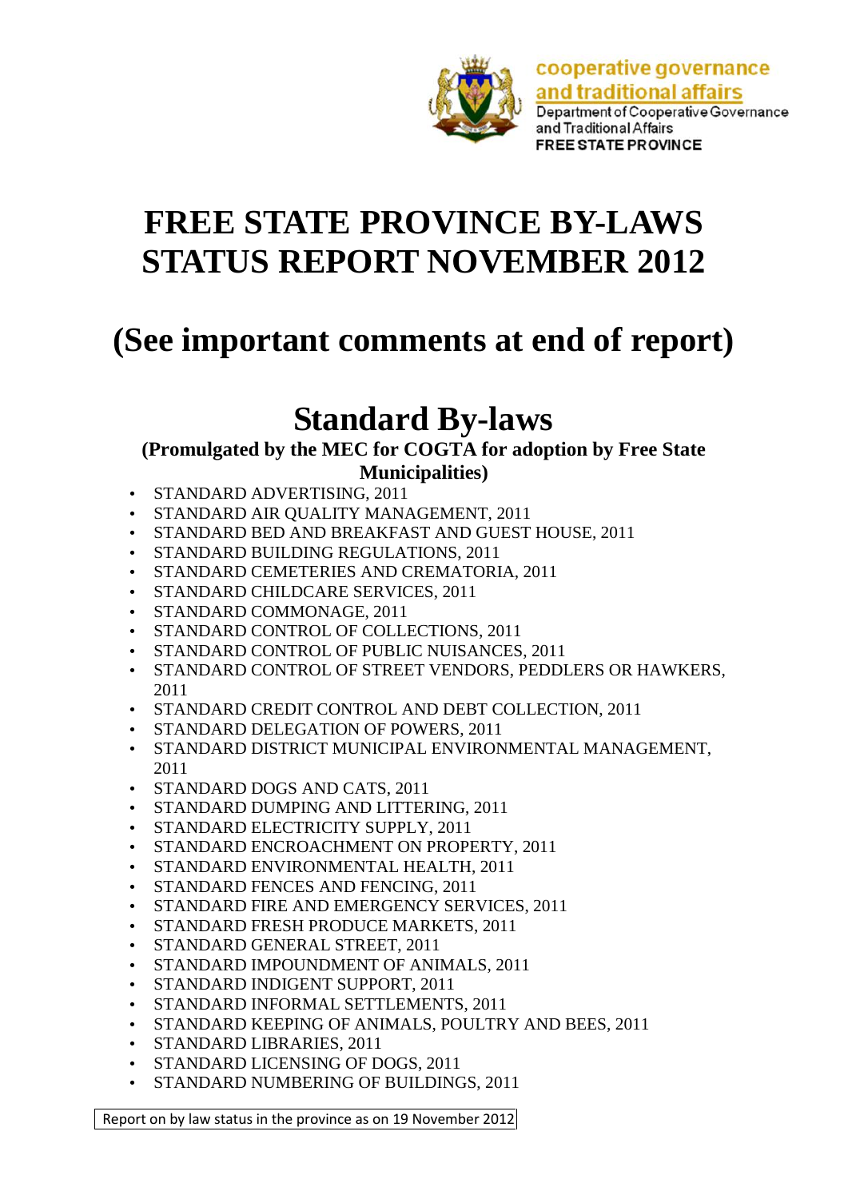

cooperative governance and traditional affairs Department of Cooperative Governance and Traditional Affairs **FREE STATE PROVINCE** 

# **FREE STATE PROVINCE BY-LAWS STATUS REPORT NOVEMBER 2012**

# **(See important comments at end of report)**

# **Standard By-laws**

## **(Promulgated by the MEC for COGTA for adoption by Free State**

**Municipalities)**

- STANDARD ADVERTISING, 2011
- STANDARD AIR QUALITY MANAGEMENT, 2011
- STANDARD BED AND BREAKFAST AND GUEST HOUSE, 2011
- STANDARD BUILDING REGULATIONS, 2011
- STANDARD CEMETERIES AND CREMATORIA, 2011
- STANDARD CHILDCARE SERVICES, 2011
- STANDARD COMMONAGE, 2011
- STANDARD CONTROL OF COLLECTIONS, 2011
- STANDARD CONTROL OF PUBLIC NUISANCES, 2011
- STANDARD CONTROL OF STREET VENDORS, PEDDLERS OR HAWKERS, 2011
- STANDARD CREDIT CONTROL AND DEBT COLLECTION, 2011
- STANDARD DELEGATION OF POWERS, 2011
- STANDARD DISTRICT MUNICIPAL ENVIRONMENTAL MANAGEMENT, 2011
- STANDARD DOGS AND CATS, 2011
- STANDARD DUMPING AND LITTERING, 2011
- STANDARD ELECTRICITY SUPPLY, 2011
- STANDARD ENCROACHMENT ON PROPERTY, 2011
- STANDARD ENVIRONMENTAL HEALTH, 2011
- STANDARD FENCES AND FENCING, 2011
- STANDARD FIRE AND EMERGENCY SERVICES, 2011
- STANDARD FRESH PRODUCE MARKETS, 2011
- STANDARD GENERAL STREET, 2011
- STANDARD IMPOUNDMENT OF ANIMALS, 2011
- STANDARD INDIGENT SUPPORT, 2011
- STANDARD INFORMAL SETTLEMENTS, 2011
- STANDARD KEEPING OF ANIMALS, POULTRY AND BEES, 2011
- STANDARD LIBRARIES, 2011
- STANDARD LICENSING OF DOGS, 2011
- STANDARD NUMBERING OF BUILDINGS, 2011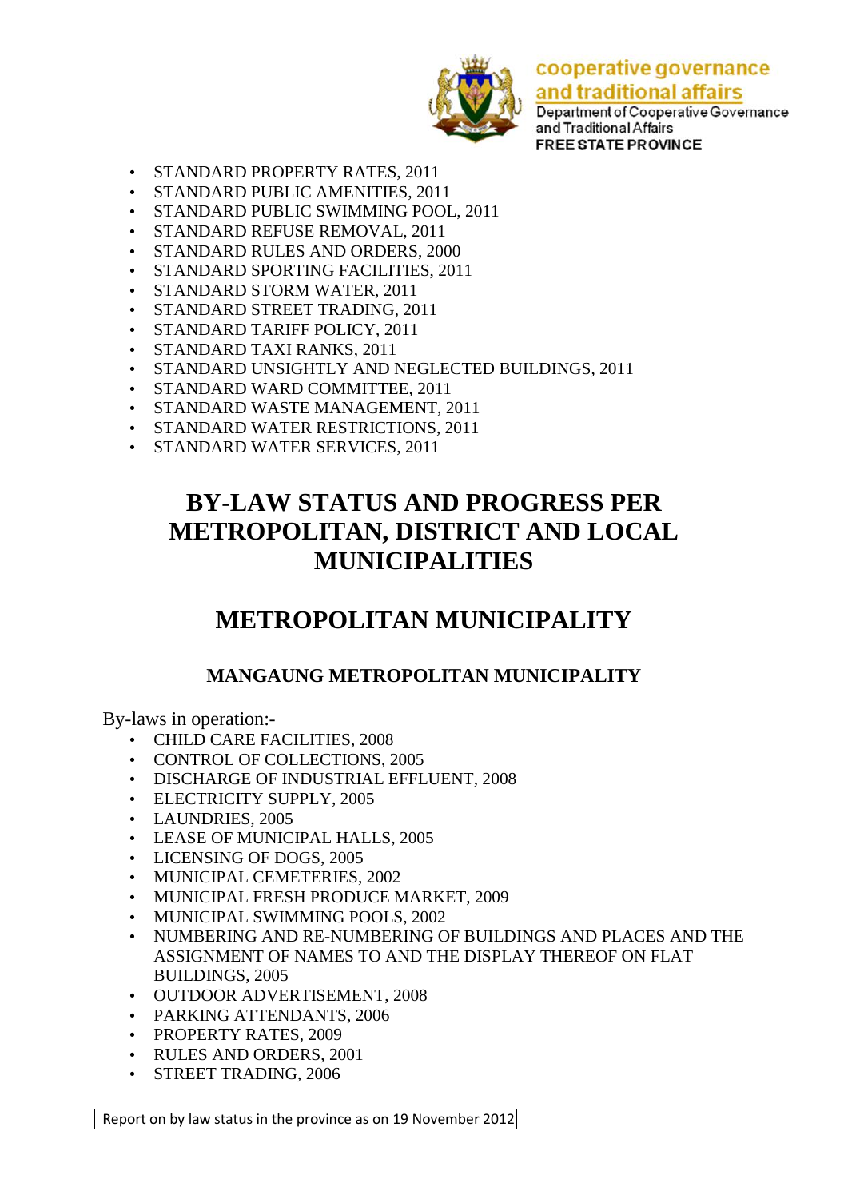

Department of Cooperative Governance and Traditional Affairs **FREE STATE PROVINCE** 

- STANDARD PROPERTY RATES, 2011
- STANDARD PUBLIC AMENITIES, 2011
- STANDARD PUBLIC SWIMMING POOL, 2011
- STANDARD REFUSE REMOVAL, 2011
- STANDARD RULES AND ORDERS, 2000
- STANDARD SPORTING FACILITIES, 2011
- STANDARD STORM WATER, 2011
- STANDARD STREET TRADING, 2011
- STANDARD TARIFF POLICY, 2011
- STANDARD TAXI RANKS, 2011
- STANDARD UNSIGHTLY AND NEGLECTED BUILDINGS, 2011
- STANDARD WARD COMMITTEE, 2011
- STANDARD WASTE MANAGEMENT, 2011
- STANDARD WATER RESTRICTIONS, 2011
- STANDARD WATER SERVICES, 2011

## **BY-LAW STATUS AND PROGRESS PER METROPOLITAN, DISTRICT AND LOCAL MUNICIPALITIES**

## **METROPOLITAN MUNICIPALITY**

### **MANGAUNG METROPOLITAN MUNICIPALITY**

By-laws in operation:-

- CHILD CARE FACILITIES, 2008
- CONTROL OF COLLECTIONS, 2005
- DISCHARGE OF INDUSTRIAL EFFLUENT, 2008
- ELECTRICITY SUPPLY, 2005
- LAUNDRIES, 2005
- LEASE OF MUNICIPAL HALLS, 2005
- LICENSING OF DOGS, 2005
- MUNICIPAL CEMETERIES, 2002
- MUNICIPAL FRESH PRODUCE MARKET, 2009
- MUNICIPAL SWIMMING POOLS, 2002
- NUMBERING AND RE-NUMBERING OF BUILDINGS AND PLACES AND THE ASSIGNMENT OF NAMES TO AND THE DISPLAY THEREOF ON FLAT BUILDINGS, 2005
- OUTDOOR ADVERTISEMENT, 2008
- PARKING ATTENDANTS, 2006
- PROPERTY RATES, 2009
- RULES AND ORDERS, 2001
- STREET TRADING, 2006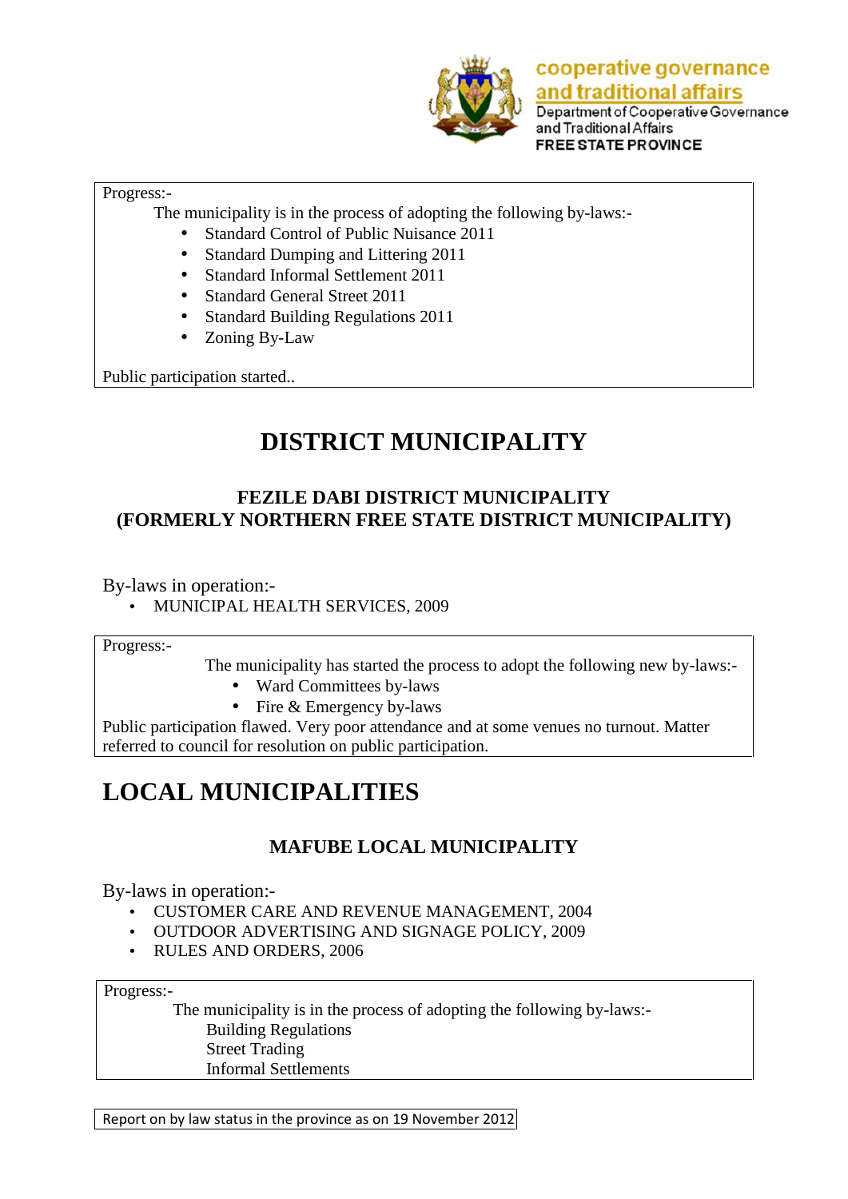

Department of Cooperative Governance and Traditional Affairs **FREE STATE PROVINCE** 

#### Progress:-

The municipality is in the process of adopting the following by-laws:-

- Standard Control of Public Nuisance 2011
- Standard Dumping and Littering 2011
- Standard Informal Settlement 2011
- Standard General Street 2011
- Standard Building Regulations 2011
- Zoning By-Law

Public participation started..

## **DISTRICT MUNICIPALITY**

### **FEZILE DABI DISTRICT MUNICIPALITY (FORMERLY NORTHERN FREE STATE DISTRICT MUNICIPALITY)**

By-laws in operation:-

MUNICIPAL HEALTH SERVICES, 2009

Progress:-

The municipality has started the process to adopt the following new by-laws:-

- Ward Committees by-laws
- $\bullet$  Fire & Emergency by-laws

Public participation flawed. Very poor attendance and at some venues no turnout. Matter referred to council for resolution on public participation.

## **LOCAL MUNICIPALITIES**

### **MAFUBE LOCAL MUNICIPALITY**

By-laws in operation:-

- CUSTOMER CARE AND REVENUE MANAGEMENT, 2004
- OUTDOOR ADVERTISING AND SIGNAGE POLICY, 2009
- RULES AND ORDERS, 2006

Progress:-<br>The municipality is in the process of adopting the following by-laws:-Building Regulations Street Trading Informal Settlements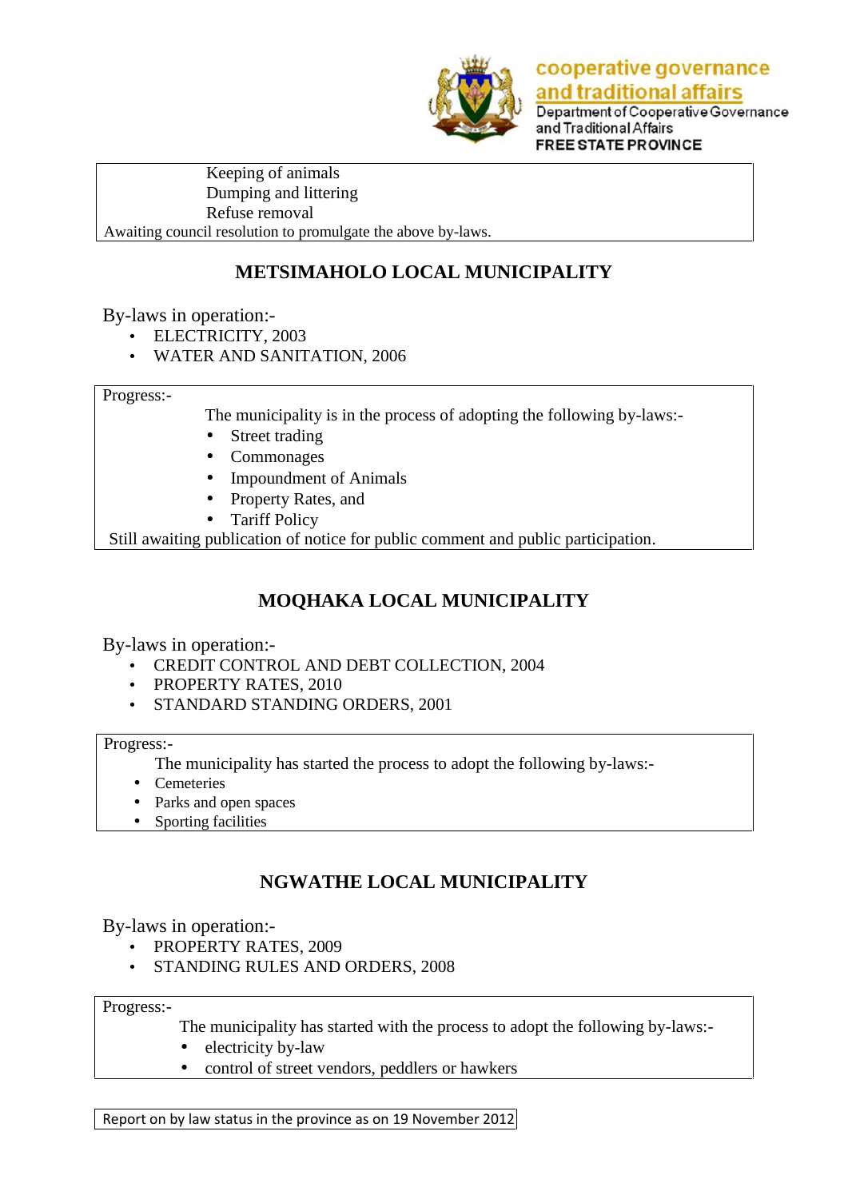

Department of Cooperative Governance and Traditional Affairs **FREE STATE PROVINCE** 

Keeping of animals Dumping and littering Refuse removal Awaiting council resolution to promulgate the above by-laws.

## **METSIMAHOLO LOCAL MUNICIPALITY**

By-laws in operation:-

- ELECTRICITY, 2003
- WATER AND SANITATION, 2006

Progress:-

The municipality is in the process of adopting the following by-laws:-

- Street trading
- Commonages
- Impoundment of Animals
- Property Rates, and
- Tariff Policy

Still awaiting publication of notice for public comment and public participation.

## **MOQHAKA LOCAL MUNICIPALITY**

By-laws in operation:-

- CREDIT CONTROL AND DEBT COLLECTION, 2004
- PROPERTY RATES, 2010
- STANDARD STANDING ORDERS, 2001

Progress:-

- The municipality has started the process to adopt the following by-laws:-
- Cemeteries
- Parks and open spaces
- Sporting facilities

### **NGWATHE LOCAL MUNICIPALITY**

By-laws in operation:-

- PROPERTY RATES, 2009
- STANDING RULES AND ORDERS, 2008

Progress:-

The municipality has started with the process to adopt the following by-laws:-

- electricity by-law
- control of street vendors, peddlers or hawkers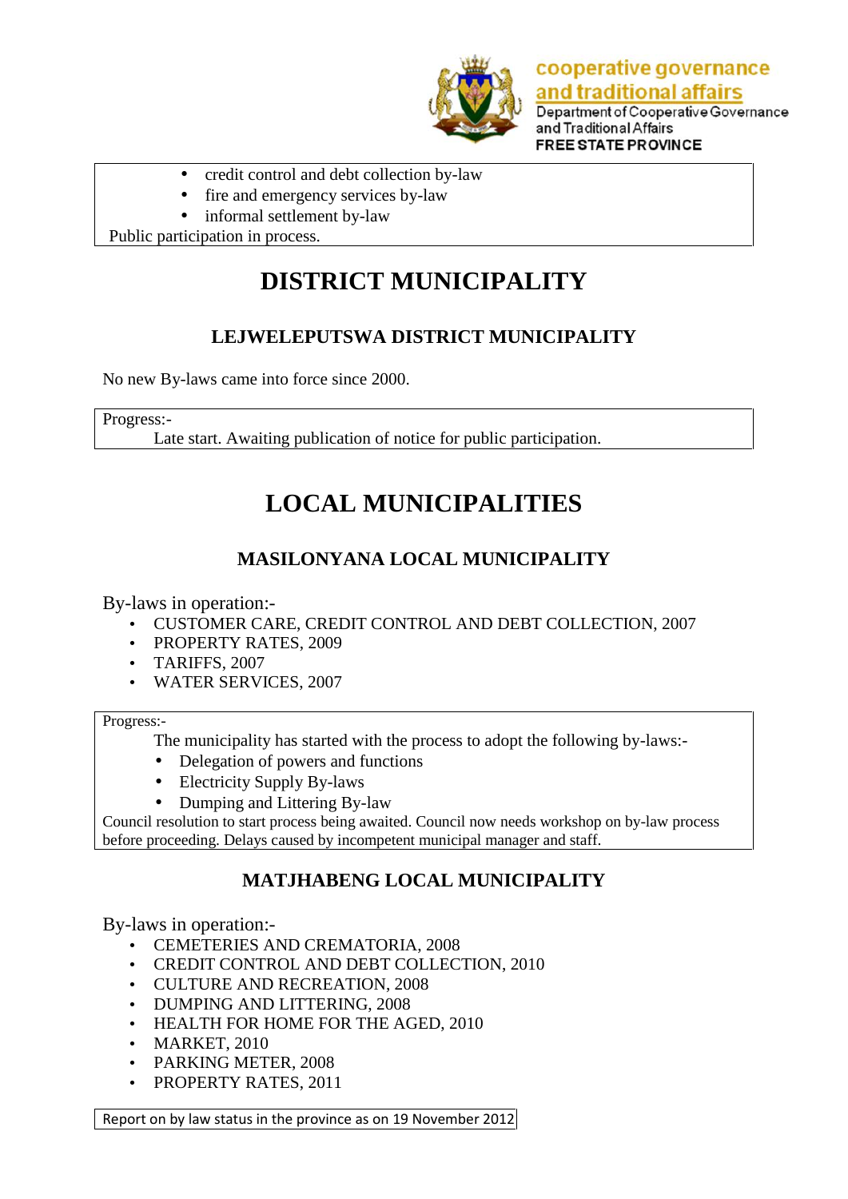

Department of Cooperative Governance and Traditional Affairs **FREE STATE PROVINCE** 

- credit control and debt collection by-law
- fire and emergency services by-law
- informal settlement by-law

Public participation in process.

## **DISTRICT MUNICIPALITY**

## **LEJWELEPUTSWA DISTRICT MUNICIPALITY**

No new By-laws came into force since 2000.

Progress:-

Late start. Awaiting publication of notice for public participation.

## **LOCAL MUNICIPALITIES**

## **MASILONYANA LOCAL MUNICIPALITY**

By-laws in operation:-

- CUSTOMER CARE, CREDIT CONTROL AND DEBT COLLECTION, 2007
- PROPERTY RATES, 2009
- TARIFFS, 2007
- WATER SERVICES, 2007

Progress:-

The municipality has started with the process to adopt the following by-laws:-

- Delegation of powers and functions
- Electricity Supply By-laws
- Dumping and Littering By-law

Council resolution to start process being awaited. Council now needs workshop on by-law process before proceeding. Delays caused by incompetent municipal manager and staff.

### **MATJHABENG LOCAL MUNICIPALITY**

By-laws in operation:-

- CEMETERIES AND CREMATORIA, 2008
- CREDIT CONTROL AND DEBT COLLECTION, 2010
- CULTURE AND RECREATION, 2008
- DUMPING AND LITTERING, 2008
- HEALTH FOR HOME FOR THE AGED, 2010
- MARKET, 2010
- PARKING METER, 2008
- PROPERTY RATES, 2011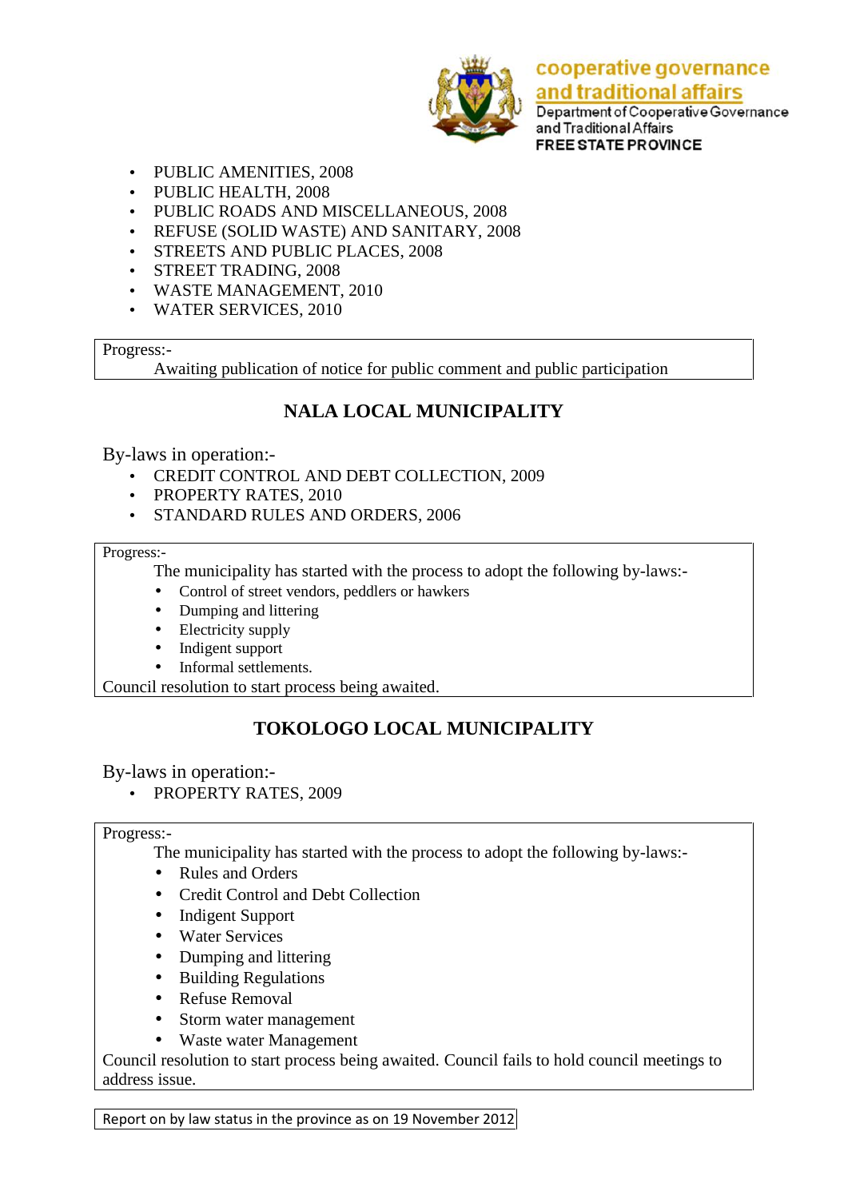

Department of Cooperative Governance and Traditional Affairs **FREE STATE PROVINCE** 

- PUBLIC AMENITIES, 2008
- PUBLIC HEALTH, 2008
- PUBLIC ROADS AND MISCELLANEOUS, 2008
- REFUSE (SOLID WASTE) AND SANITARY, 2008
- STREETS AND PUBLIC PLACES, 2008
- STREET TRADING, 2008
- WASTE MANAGEMENT, 2010
- WATER SERVICES, 2010

### Progress:-

Awaiting publication of notice for public comment and public participation

### **NALA LOCAL MUNICIPALITY**

### By-laws in operation:-

- CREDIT CONTROL AND DEBT COLLECTION, 2009
- PROPERTY RATES, 2010
- STANDARD RULES AND ORDERS, 2006

#### Progress:-

The municipality has started with the process to adopt the following by-laws:-

- Control of street vendors, peddlers or hawkers
- Dumping and littering
- Electricity supply
- Indigent support
- Informal settlements.

Council resolution to start process being awaited.

## **TOKOLOGO LOCAL MUNICIPALITY**

### By-laws in operation:-

• PROPERTY RATES, 2009

### Progress:-

The municipality has started with the process to adopt the following by-laws:-

- Rules and Orders
- Credit Control and Debt Collection
- Indigent Support
- Water Services
- Dumping and littering
- Building Regulations
- Refuse Removal
- Storm water management
- Waste water Management

Council resolution to start process being awaited. Council fails to hold council meetings to address issue.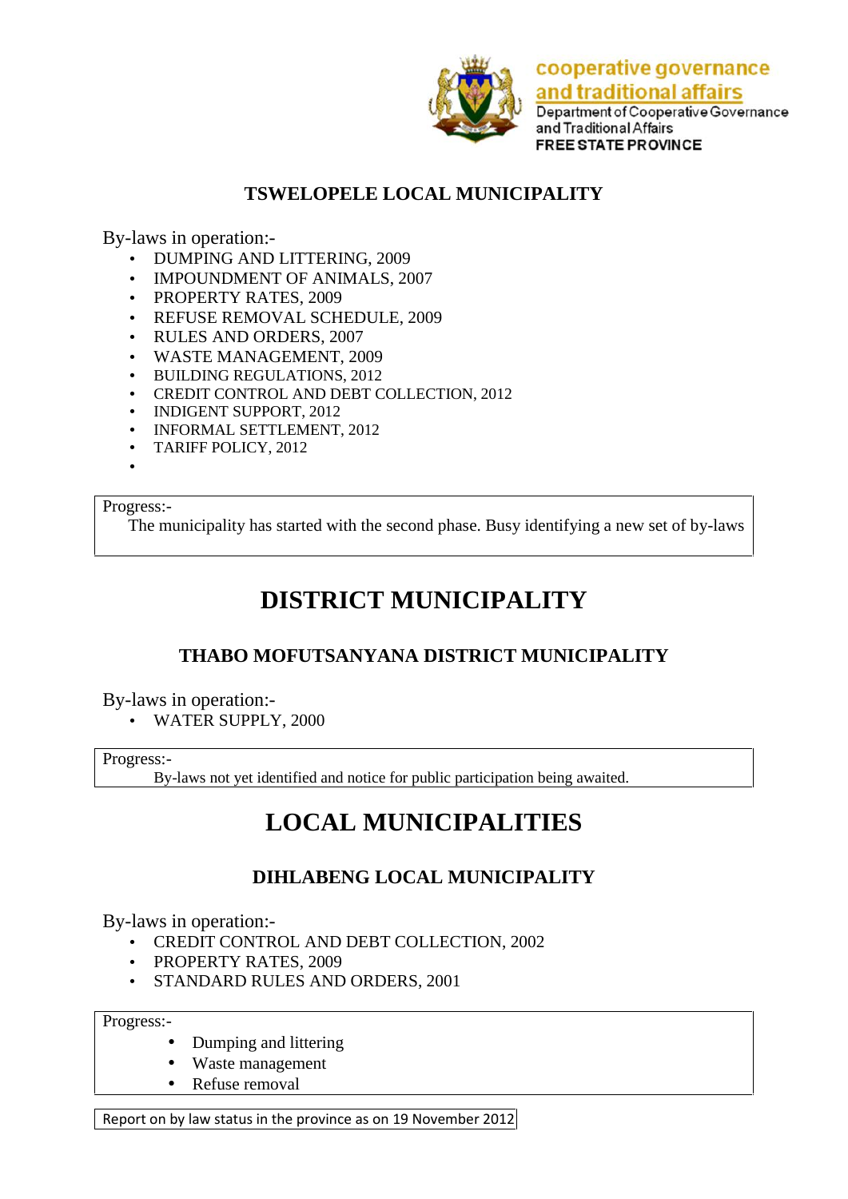

Department of Cooperative Governance and Traditional Affairs **FREE STATE PROVINCE** 

### **TSWELOPELE LOCAL MUNICIPALITY**

By-laws in operation:-

- DUMPING AND LITTERING, 2009
- IMPOUNDMENT OF ANIMALS, 2007
- PROPERTY RATES, 2009
- REFUSE REMOVAL SCHEDULE, 2009
- RULES AND ORDERS, 2007
- WASTE MANAGEMENT, 2009
- BUILDING REGULATIONS, 2012
- CREDIT CONTROL AND DEBT COLLECTION, 2012
- INDIGENT SUPPORT, 2012
- INFORMAL SETTLEMENT, 2012
- TARIFF POLICY, 2012
- $\bullet$  and  $\bullet$

#### Progress:-

The municipality has started with the second phase. Busy identifying a new set of by-laws

## **DISTRICT MUNICIPALITY**

### **THABO MOFUTSANYANA DISTRICT MUNICIPALITY**

By-laws in operation:-

WATER SUPPLY, 2000

Progress:-

By-laws not yet identified and notice for public participation being awaited.

## **LOCAL MUNICIPALITIES**

### **DIHLABENG LOCAL MUNICIPALITY**

By-laws in operation:-

- CREDIT CONTROL AND DEBT COLLECTION, 2002
- PROPERTY RATES, 2009
- STANDARD RULES AND ORDERS, 2001

Progress:-

- Dumping and littering
- Waste management
- Refuse removal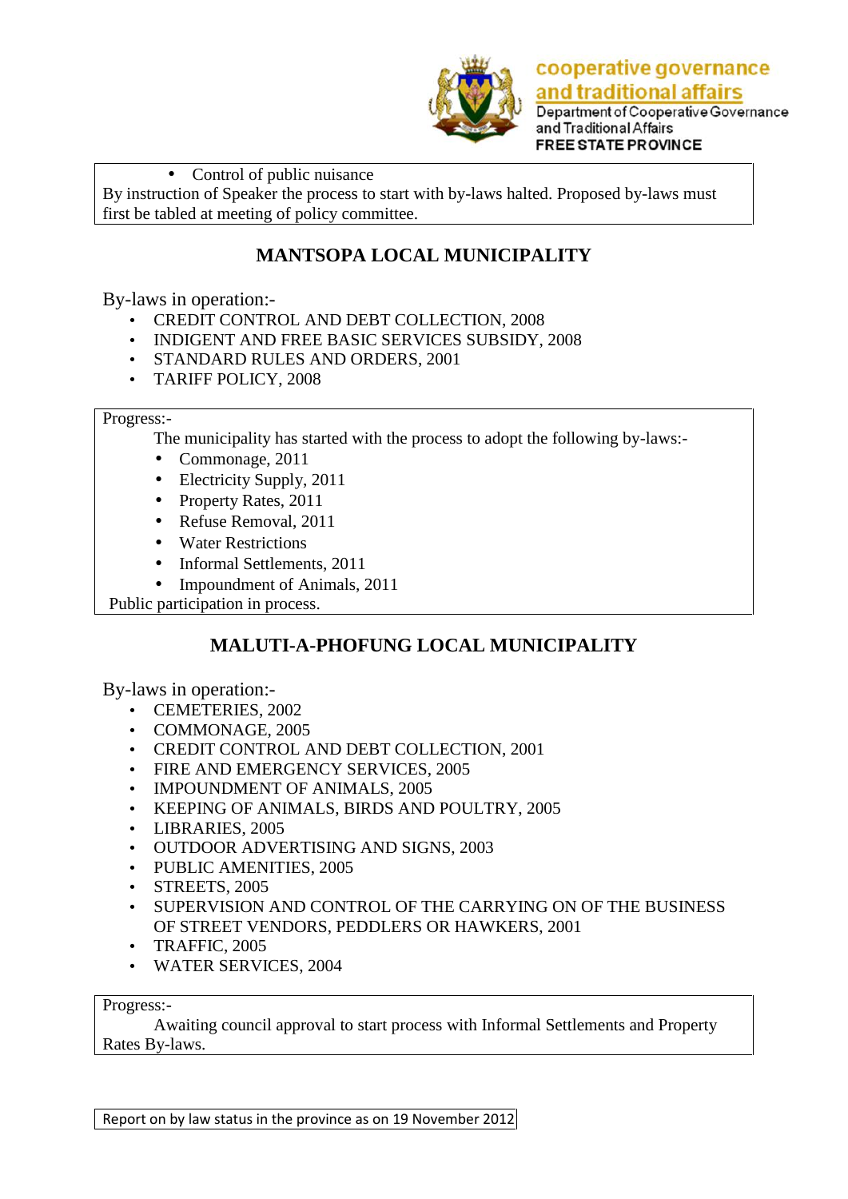

and traditional affairs Department of Cooperative Governance and Traditional Affairs **FREE STATE PROVINCE** 

#### • Control of public nuisance

By instruction of Speaker the process to start with by-laws halted. Proposed by-laws must first be tabled at meeting of policy committee.

### **MANTSOPA LOCAL MUNICIPALITY**

By-laws in operation:-

- CREDIT CONTROL AND DEBT COLLECTION, 2008
- INDIGENT AND FREE BASIC SERVICES SUBSIDY, 2008
- STANDARD RULES AND ORDERS, 2001
- TARIFF POLICY, 2008

#### Progress:-

The municipality has started with the process to adopt the following by-laws:-

- $\bullet$  Commonage, 2011
- Electricity Supply, 2011
- Property Rates, 2011
- Refuse Removal, 2011
- Water Restrictions
- Informal Settlements, 2011
- Impoundment of Animals, 2011

Public participation in process.

### **MALUTI-A-PHOFUNG LOCAL MUNICIPALITY**

By-laws in operation:-

- CEMETERIES, 2002
- COMMONAGE, 2005
- CREDIT CONTROL AND DEBT COLLECTION, 2001
- FIRE AND EMERGENCY SERVICES, 2005
- IMPOUNDMENT OF ANIMALS, 2005
- KEEPING OF ANIMALS, BIRDS AND POULTRY, 2005
- LIBRARIES, 2005
- OUTDOOR ADVERTISING AND SIGNS, 2003
- PUBLIC AMENITIES, 2005
- STREETS, 2005
- SUPERVISION AND CONTROL OF THE CARRYING ON OF THE BUSINESS OF STREET VENDORS, PEDDLERS OR HAWKERS, 2001
- TRAFFIC, 2005
- WATER SERVICES, 2004

#### Progress:-

Awaiting council approval to start process with Informal Settlements and Property Rates By-laws.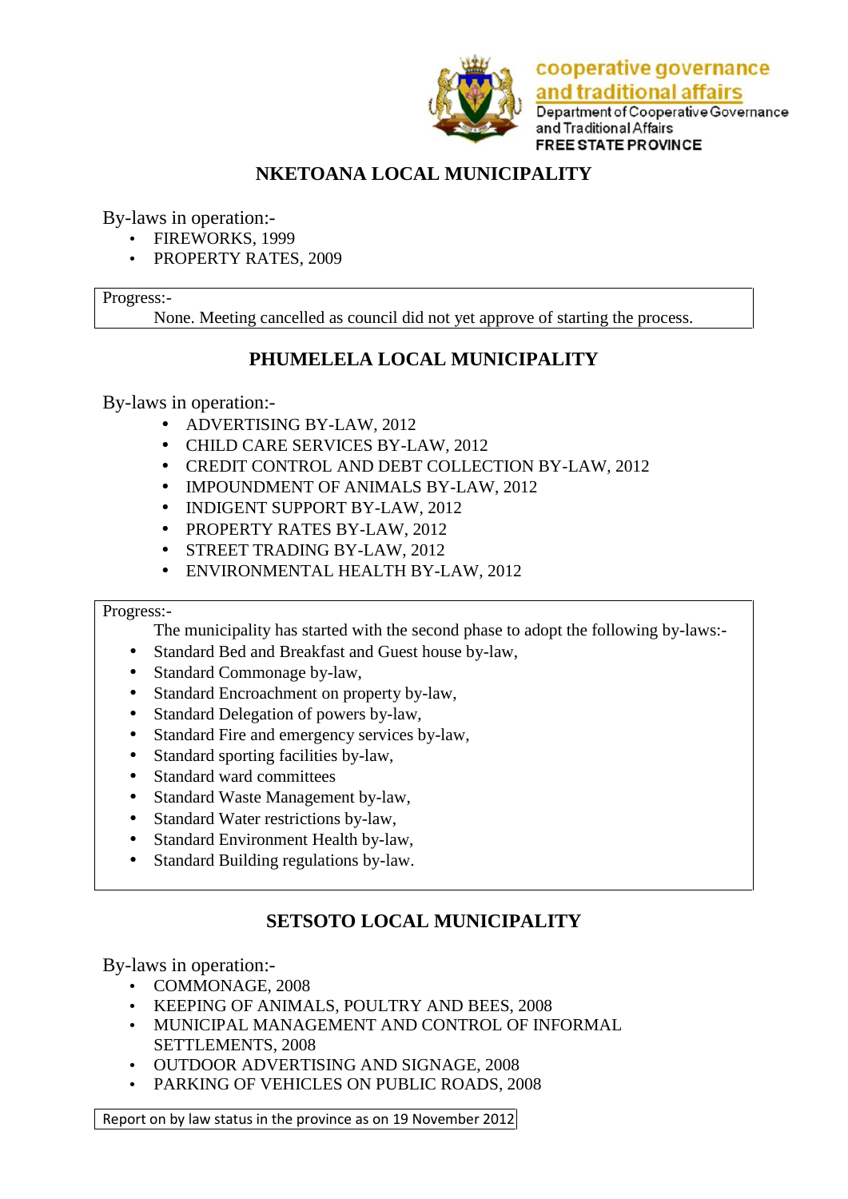

Department of Cooperative Governance and Traditional Affairs **FREE STATE PROVINCE** 

## **NKETOANA LOCAL MUNICIPALITY**

By-laws in operation:-

- FIREWORKS, 1999
- PROPERTY RATES, 2009

### Progress:-

None. Meeting cancelled as council did not yet approve of starting the process.

## **PHUMELELA LOCAL MUNICIPALITY**

By-laws in operation:-

- ADVERTISING BY-LAW, 2012
- CHILD CARE SERVICES BY-LAW, 2012
- CREDIT CONTROL AND DEBT COLLECTION BY-LAW, 2012
- IMPOUNDMENT OF ANIMALS BY-LAW, 2012
- INDIGENT SUPPORT BY-LAW, 2012
- PROPERTY RATES BY-LAW, 2012
- STREET TRADING BY-LAW, 2012
- ENVIRONMENTAL HEALTH BY-LAW, 2012

### Progress:-

The municipality has started with the second phase to adopt the following by-laws:-

- Standard Bed and Breakfast and Guest house by-law,
- Standard Commonage by-law,
- Standard Encroachment on property by-law,
- Standard Delegation of powers by-law,
- Standard Fire and emergency services by-law,
- Standard sporting facilities by-law,
- Standard ward committees
- Standard Waste Management by-law,
- Standard Water restrictions by-law,
- Standard Environment Health by-law,
- Standard Building regulations by-law.

## **SETSOTO LOCAL MUNICIPALITY**

By-laws in operation:-

- COMMONAGE, 2008
- KEEPING OF ANIMALS, POULTRY AND BEES, 2008
- MUNICIPAL MANAGEMENT AND CONTROL OF INFORMAL SETTLEMENTS, 2008
- OUTDOOR ADVERTISING AND SIGNAGE, 2008
- PARKING OF VEHICLES ON PUBLIC ROADS, 2008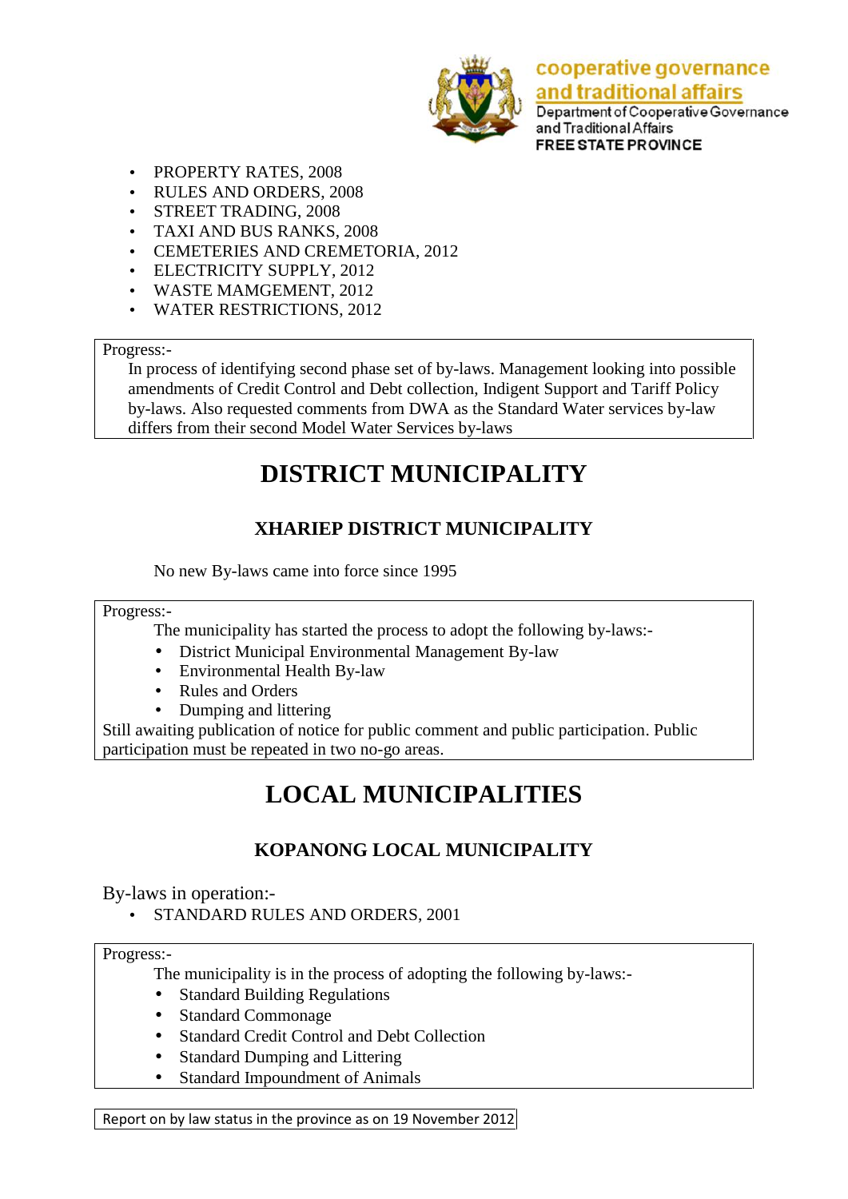

Department of Cooperative Governance and Traditional Affairs **FREE STATE PROVINCE** 

- PROPERTY RATES, 2008
- RULES AND ORDERS, 2008
- STREET TRADING, 2008
- TAXI AND BUS RANKS, 2008
- CEMETERIES AND CREMETORIA, 2012
- ELECTRICITY SUPPLY, 2012
- WASTE MAMGEMENT, 2012
- WATER RESTRICTIONS, 2012

### Progress:-

In process of identifying second phase set of by-laws. Management looking into possible amendments of Credit Control and Debt collection, Indigent Support and Tariff Policy by-laws. Also requested comments from DWA as the Standard Water services by-law differs from their second Model Water Services by-laws

## **DISTRICT MUNICIPALITY**

## **XHARIEP DISTRICT MUNICIPALITY**

No new By-laws came into force since 1995

#### Progress:-

The municipality has started the process to adopt the following by-laws:-

- District Municipal Environmental Management By-law
- Environmental Health By-law
- Rules and Orders
- Dumping and littering

Still awaiting publication of notice for public comment and public participation. Public participation must be repeated in two no-go areas.

## **LOCAL MUNICIPALITIES**

### **KOPANONG LOCAL MUNICIPALITY**

By-laws in operation:-

• STANDARD RULES AND ORDERS, 2001

Progress:-

The municipality is in the process of adopting the following by-laws:-

- Standard Building Regulations
- Standard Commonage
- Standard Credit Control and Debt Collection
- Standard Dumping and Littering
- Standard Impoundment of Animals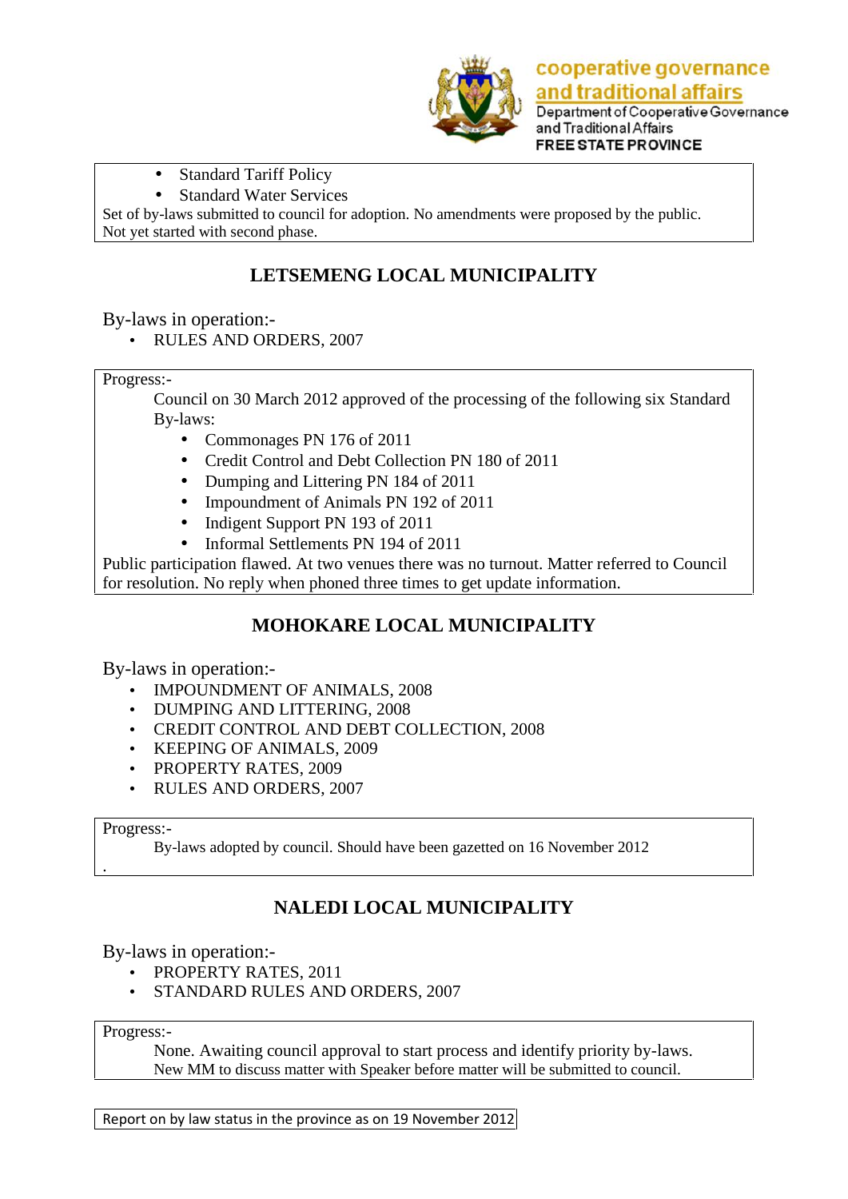

Standard Tariff Policy

Standard Water Services

Set of by-laws submitted to council for adoption. No amendments were proposed by the public. Not yet started with second phase.

## **LETSEMENG LOCAL MUNICIPALITY**

By-laws in operation:-

RULES AND ORDERS, 2007

Progress:-

Council on 30 March 2012 approved of the processing of the following six Standard By-laws:

- Commonages PN 176 of 2011
- Credit Control and Debt Collection PN 180 of 2011
- Dumping and Littering PN 184 of 2011
- Impoundment of Animals PN 192 of 2011
- Indigent Support PN 193 of 2011
- Informal Settlements PN 194 of 2011

Public participation flawed. At two venues there was no turnout. Matter referred to Council for resolution. No reply when phoned three times to get update information.

### **MOHOKARE LOCAL MUNICIPALITY**

By-laws in operation:-

- IMPOUNDMENT OF ANIMALS, 2008
- DUMPING AND LITTERING, 2008
- CREDIT CONTROL AND DEBT COLLECTION, 2008
- KEEPING OF ANIMALS, 2009
- PROPERTY RATES, 2009
- RULES AND ORDERS, 2007

#### Progress:-

.

By-laws adopted by council. Should have been gazetted on 16 November 2012

### **NALEDI LOCAL MUNICIPALITY**

By-laws in operation:-

- PROPERTY RATES, 2011
- STANDARD RULES AND ORDERS, 2007

Progress:-

None. Awaiting council approval to start process and identify priority by-laws. New MM to discuss matter with Speaker before matter will be submitted to council.